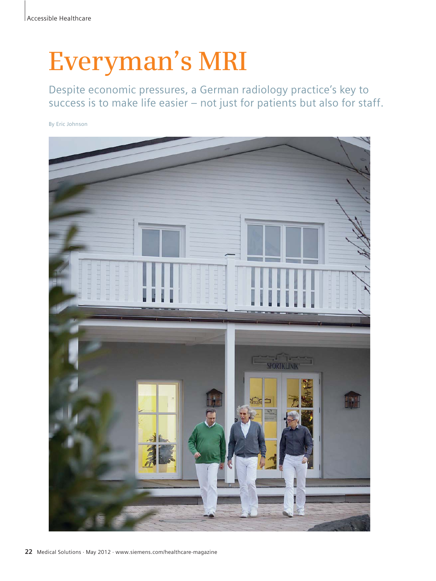# **Everyman's MRI**

Despite economic pressures, a German radiology practice's key to success is to make life easier – not just for patients but also for staff.

By Eric Johnson

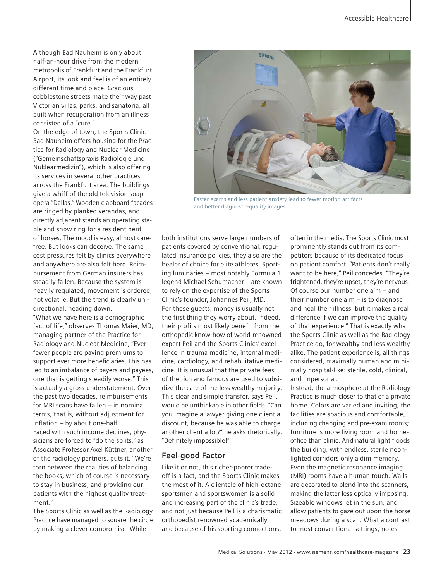Although Bad Nauheim is only about half-an-hour drive from the modern metropolis of Frankfurt and the Frankfurt Airport, its look and feel is of an entirely different time and place. Gracious cobblestone streets make their way past Victorian villas, parks, and sanatoria, all built when recuperation from an illness consisted of a "cure."

On the edge of town, the Sports Clinic Bad Nauheim offers housing for the Practice for Radiology and Nuclear Medicine ("Gemeinschaftspraxis Radiologie und Nuklearmedizin"), which is also offering its services in several other practices across the Frankfurt area. The buildings give a whiff of the old television soap opera "Dallas." Wooden clapboard facades are ringed by planked verandas, and directly adjacent stands an operating stable and show ring for a resident herd of horses. The mood is easy, almost carefree. But looks can deceive. The same cost pressures felt by clinics everywhere and anywhere are also felt here. Reimbursement from German insurers has steadily fallen. Because the system is heavily regulated, movement is ordered, not volatile. But the trend is clearly unidirectional: heading down.

"What we have here is a demographic fact of life," observes Thomas Maier, MD, managing partner of the Practice for Radiology and Nuclear Medicine, "Ever fewer people are paying premiums to support ever more beneficiaries. This has led to an imbalance of payers and payees, one that is getting steadily worse." This is actually a gross understatement. Over the past two decades, reimbursements for MRI scans have fallen – in nominal terms, that is, without adjustment for inflation – by about one-half. Faced with such income declines, physicians are forced to "do the splits," as Associate Professor Axel Küttner, another of the radiology partners, puts it. "We're torn between the realities of balancing the books, which of course is necessary to stay in business, and providing our patients with the highest quality treatment."

The Sports Clinic as well as the Radiology Practice have managed to square the circle by making a clever compromise. While



Faster exams and less patient anxiety lead to fewer motion artifacts and better diagnostic-quality images.

both institutions serve large numbers of patients covered by conventional, regulated insurance policies, they also are the healer of choice for elite athletes. Sporting luminaries – most notably Formula 1 legend Michael Schumacher – are known to rely on the expertise of the Sports Clinic's founder, Johannes Peil, MD. For these guests, money is usually not the first thing they worry about. Indeed, their profits most likely benefit from the orthopedic know-how of world-renowned expert Peil and the Sports Clinics' excellence in trauma medicine, internal medicine, cardiology, and rehabilitative medicine. It is unusual that the private fees of the rich and famous are used to subsidize the care of the less wealthy majority. This clear and simple transfer, says Peil, would be unthinkable in other fields. "Can you imagine a lawyer giving one client a discount, because he was able to charge another client a lot?" he asks rhetorically. "Definitely impossible!"

# **Feel-good Factor**

Like it or not, this richer-poorer tradeoff is a fact, and the Sports Clinic makes the most of it. A clientele of high-octane sportsmen and sportswomen is a solid and increasing part of the clinic's trade, and not just because Peil is a charismatic orthopedist renowned academically and because of his sporting connections,

often in the media. The Sports Clinic most prominently stands out from its competitors because of its dedicated focus on patient comfort. "Patients don't really want to be here," Peil concedes. "They're frightened, they're upset, they're nervous. Of course our number one aim – and their number one aim – is to diagnose and heal their illness, but it makes a real difference if we can improve the quality of that experience." That is exactly what the Sports Clinic as well as the Radiology Practice do, for wealthy and less wealthy alike. The patient experience is, all things considered, maximally human and minimally hospital-like: sterile, cold, clinical, and impersonal.

Instead, the atmosphere at the Radiology Practice is much closer to that of a private home. Colors are varied and inviting; the facilities are spacious and comfortable, including changing and pre-exam rooms; furniture is more living room and homeoffice than clinic. And natural light floods the building, with endless, sterile neonlighted corridors only a dim memory. Even the magnetic resonance imaging (MRI) rooms have a human touch. Walls are decorated to blend into the scanners, making the latter less optically imposing. Sizeable windows let in the sun, and allow patients to gaze out upon the horse meadows during a scan. What a contrast to most conventional settings, notes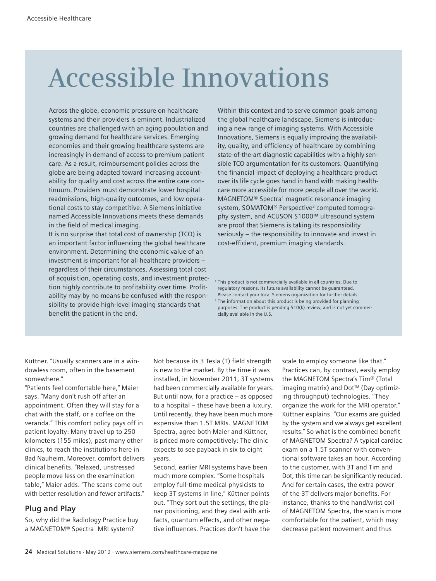# **Accessible Innovations**

Across the globe, economic pressure on healthcare systems and their providers is eminent. Industrialized countries are challenged with an aging population and growing demand for healthcare services. Emerging economies and their growing healthcare systems are increasingly in demand of access to premium patient care. As a result, reimbursement policies across the globe are being adapted toward increasing accountability for quality and cost across the entire care continuum. Providers must demonstrate lower hospital readmissions, high-quality outcomes, and low operational costs to stay competitive. A Siemens initiative named Accessible Innovations meets these demands in the field of medical imaging.

It is no surprise that total cost of ownership (TCO) is an important factor influencing the global healthcare environment. Determining the economic value of an investment is important for all healthcare providers – regardless of their circumstances. Assessing total cost of acquisition, operating costs, and investment protection highly contribute to profitability over time. Profitability may by no means be confused with the responsibility to provide high-level imaging standards that benefit the patient in the end.

Within this context and to serve common goals among the global healthcare landscape, Siemens is introducing a new range of imaging systems. With Accessible Innovations, Siemens is equally improving the availability, quality, and efficiency of healthcare by combining state-of-the-art diagnostic capabilities with a highly sensible TCO argumentation for its customers. Quantifying the financial impact of deploying a healthcare product over its life cycle goes hand in hand with making healthcare more accessible for more people all over the world. MAGNETOM® Spectra<sup>1</sup> magnetic resonance imaging system, SOMATOM® Perspective<sup>2</sup> computed tomography system, and ACUSON S1000™ ultrasound system are proof that Siemens is taking its responsibility seriously – the responsibility to innovate and invest in cost-efficient, premium imaging standards.

<sup>1</sup> This product is not commercially available in all countries. Due to regulatory reasons, its future availability cannot be guaranteed. Please contact your local Siemens organization for further details. <sup>2</sup> The information about this product is being provided for planning purposes. The product is pending 510(k) review, and is not yet commercially available in the U.S.

Küttner. "Usually scanners are in a windowless room, often in the basement somewhere."

"Patients feel comfortable here," Maier says. "Many don't rush off after an appointment. Often they will stay for a chat with the staff, or a coffee on the veranda." This comfort policy pays off in patient loyalty: Many travel up to 250 kilometers (155 miles), past many other clinics, to reach the institutions here in Bad Nauheim. Moreover, comfort delivers clinical benefits. "Relaxed, unstressed people move less on the examination table," Maier adds. "The scans come out with better resolution and fewer artifacts."

# **Plug and Play**

So, why did the Radiology Practice buy a MAGNETOM<sup>®</sup> Spectra<sup>1</sup> MRI system?

Not because its 3 Tesla (T) field strength is new to the market. By the time it was installed, in November 2011, 3T systems had been commercially available for years. But until now, for a practice – as opposed to a hospital – these have been a luxury. Until recently, they have been much more expensive than 1.5T MRIs. MAGNETOM Spectra, agree both Maier and Küttner, is priced more competitively: The clinic expects to see payback in six to eight years.

Second, earlier MRI systems have been much more complex. "Some hospitals employ full-time medical physicists to keep 3T systems in line," Küttner points out. "They sort out the settings, the planar positioning, and they deal with artifacts, quantum effects, and other negative influences. Practices don't have the

scale to employ someone like that." Practices can, by contrast, easily employ the MAGNETOM Spectra's Tim® (Total imaging matrix) and Dot™ (Day optimizing throughput) technologies. "They organize the work for the MRI operator," Küttner explains. "Our exams are guided by the system and we always get excellent results." So what is the combined benefit of MAGNETOM Spectra? A typical cardiac exam on a 1.5T scanner with conventional software takes an hour. According to the customer, with 3T and Tim and Dot, this time can be significantly reduced. And for certain cases, the extra power of the 3T delivers major benefits. For instance, thanks to the hand/wrist coil of MAGNETOM Spectra, the scan is more comfortable for the patient, which may decrease patient movement and thus